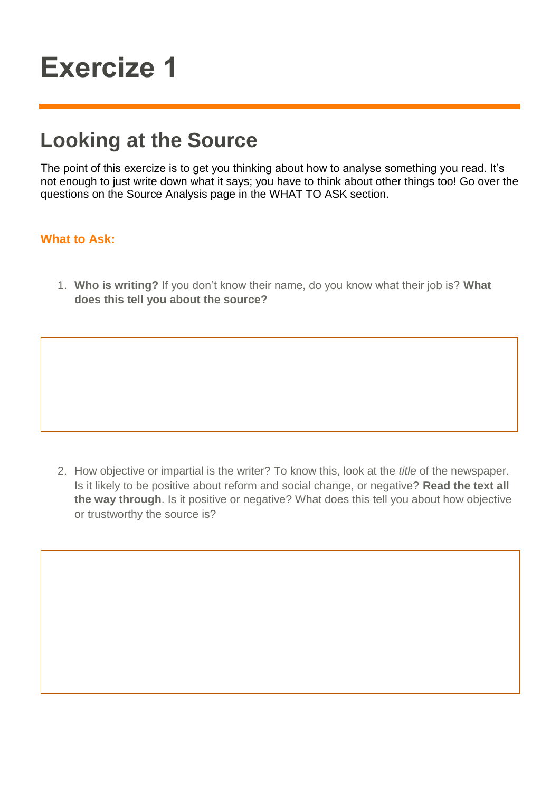## **Exercize 1**

## **Looking at the Source**

The point of this exercize is to get you thinking about how to analyse something you read. It's not enough to just write down what it says; you have to think about other things too! Go over the questions on the Source Analysis page in the WHAT TO ASK section.

## **What to Ask:**

1. **Who is writing?** If you don't know their name, do you know what their job is? **What does this tell you about the source?** 

2. How objective or impartial is the writer? To know this, look at the *title* of the newspaper. Is it likely to be positive about reform and social change, or negative? **Read the text all the way through**. Is it positive or negative? What does this tell you about how objective or trustworthy the source is?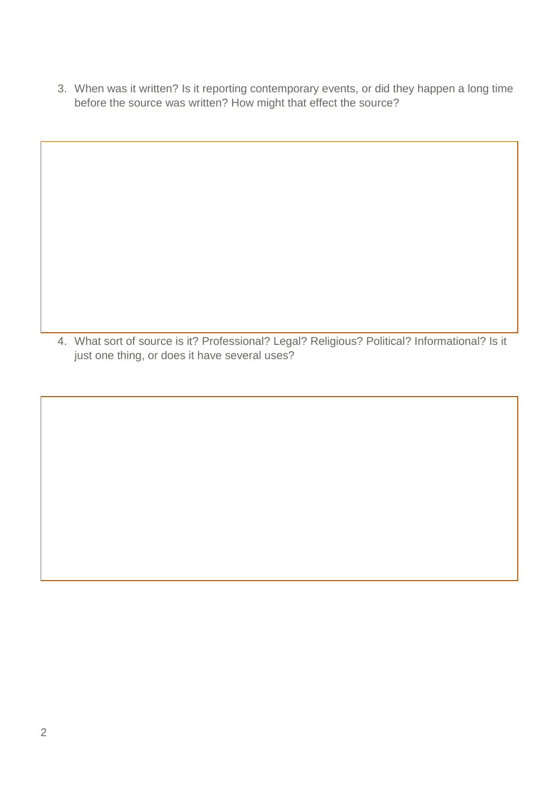3. When was it written? Is it reporting contemporary events, or did they happen a long time before the source was written? How might that effect the source?

4. What sort of source is it? Professional? Legal? Religious? Political? Informational? Is it just one thing, or does it have several uses?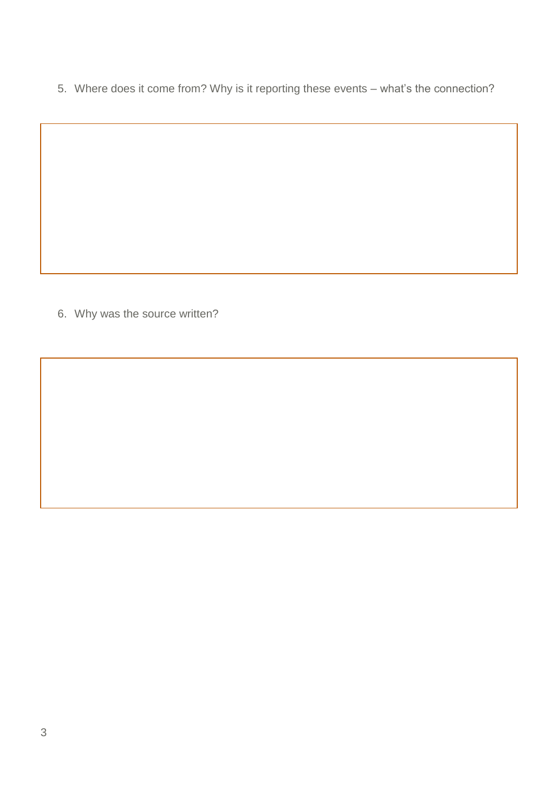5. Where does it come from? Why is it reporting these events – what's the connection?

6. Why was the source written?